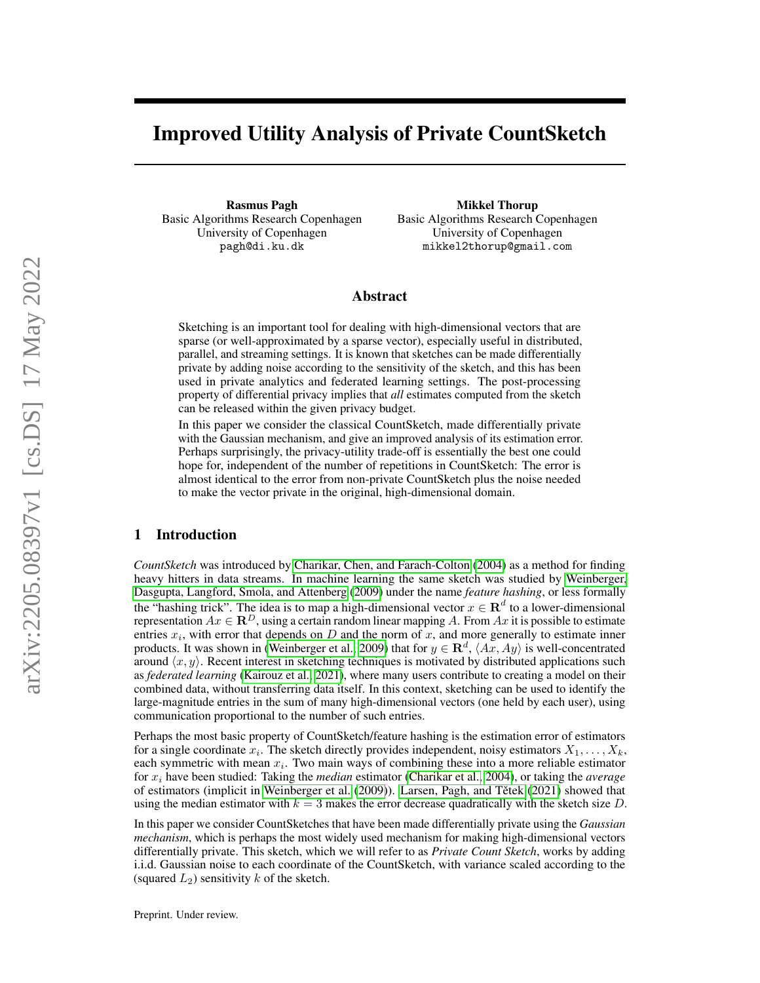# Improved Utility Analysis of Private CountSketch

Rasmus Pagh Basic Algorithms Research Copenhagen University of Copenhagen pagh@di.ku.dk

Mikkel Thorup Basic Algorithms Research Copenhagen University of Copenhagen mikkel2thorup@gmail.com

## Abstract

Sketching is an important tool for dealing with high-dimensional vectors that are sparse (or well-approximated by a sparse vector), especially useful in distributed, parallel, and streaming settings. It is known that sketches can be made differentially private by adding noise according to the sensitivity of the sketch, and this has been used in private analytics and federated learning settings. The post-processing property of differential privacy implies that *all* estimates computed from the sketch can be released within the given privacy budget.

In this paper we consider the classical CountSketch, made differentially private with the Gaussian mechanism, and give an improved analysis of its estimation error. Perhaps surprisingly, the privacy-utility trade-off is essentially the best one could hope for, independent of the number of repetitions in CountSketch: The error is almost identical to the error from non-private CountSketch plus the noise needed to make the vector private in the original, high-dimensional domain.

## 1 Introduction

*CountSketch* was introduced by [Charikar, Chen, and Farach-Colton](#page-9-0) [\(2004\)](#page-9-0) as a method for finding heavy hitters in data streams. In machine learning the same sketch was studied by [Weinberger,](#page-10-0) [Dasgupta, Langford, Smola, and Attenberg](#page-10-0) [\(2009\)](#page-10-0) under the name *feature hashing*, or less formally the "hashing trick". The idea is to map a high-dimensional vector  $x \in \mathbb{R}^d$  to a lower-dimensional representation  $Ax \in \mathbb{R}^D$ , using a certain random linear mapping A. From Ax it is possible to estimate entries  $x_i$ , with error that depends on D and the norm of x, and more generally to estimate inner products. It was shown in [\(Weinberger et al., 2009\)](#page-10-0) that for  $y \in \mathbf{R}^d$ ,  $\langle Ax, Ay \rangle$  is well-concentrated around  $\langle x, y \rangle$ . Recent interest in sketching techniques is motivated by distributed applications such as *federated learning* [\(Kairouz et al., 2021\)](#page-10-1), where many users contribute to creating a model on their combined data, without transferring data itself. In this context, sketching can be used to identify the large-magnitude entries in the sum of many high-dimensional vectors (one held by each user), using communication proportional to the number of such entries.

Perhaps the most basic property of CountSketch/feature hashing is the estimation error of estimators for a single coordinate  $x_i$ . The sketch directly provides independent, noisy estimators  $X_1, \ldots, X_k$ , each symmetric with mean  $x_i$ . Two main ways of combining these into a more reliable estimator for x<sup>i</sup> have been studied: Taking the *median* estimator [\(Charikar et al., 2004\)](#page-9-0), or taking the *average* of estimators (implicit in [Weinberger et al.](#page-10-0) [\(2009\)](#page-10-0)). Larsen, Pagh, and Tětek [\(2021\)](#page-10-2) showed that using the median estimator with  $k = 3$  makes the error decrease quadratically with the sketch size D.

In this paper we consider CountSketches that have been made differentially private using the *Gaussian mechanism*, which is perhaps the most widely used mechanism for making high-dimensional vectors differentially private. This sketch, which we will refer to as *Private Count Sketch*, works by adding i.i.d. Gaussian noise to each coordinate of the CountSketch, with variance scaled according to the (squared  $L_2$ ) sensitivity k of the sketch.

Preprint. Under review.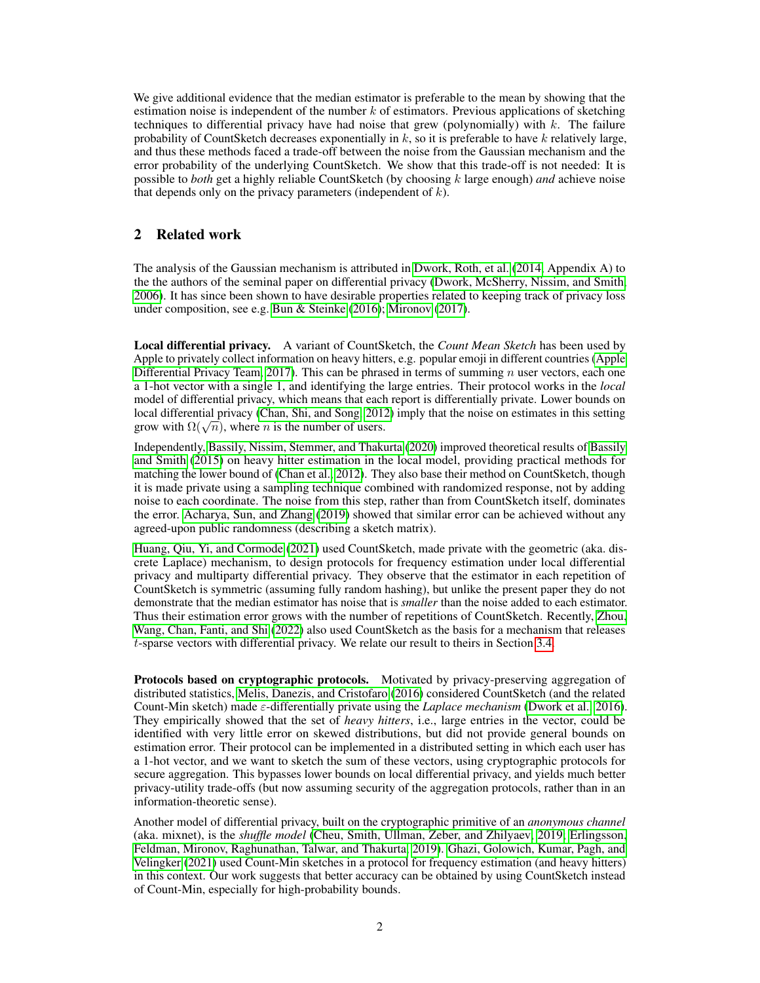We give additional evidence that the median estimator is preferable to the mean by showing that the estimation noise is independent of the number  $k$  of estimators. Previous applications of sketching techniques to differential privacy have had noise that grew (polynomially) with  $k$ . The failure probability of CountSketch decreases exponentially in  $k$ , so it is preferable to have  $k$  relatively large, and thus these methods faced a trade-off between the noise from the Gaussian mechanism and the error probability of the underlying CountSketch. We show that this trade-off is not needed: It is possible to *both* get a highly reliable CountSketch (by choosing k large enough) *and* achieve noise that depends only on the privacy parameters (independent of  $k$ ).

# 2 Related work

The analysis of the Gaussian mechanism is attributed in [Dwork, Roth, et al.](#page-9-1) [\(2014,](#page-9-1) Appendix A) to the the authors of the seminal paper on differential privacy [\(Dwork, McSherry, Nissim, and Smith,](#page-9-2) [2006\)](#page-9-2). It has since been shown to have desirable properties related to keeping track of privacy loss under composition, see e.g. [Bun & Steinke](#page-9-3) [\(2016\)](#page-9-3); [Mironov](#page-10-3) [\(2017\)](#page-10-3).

Local differential privacy. A variant of CountSketch, the *Count Mean Sketch* has been used by Apple to privately collect information on heavy hitters, e.g. popular emoji in different countries [\(Apple](#page-9-4) [Differential Privacy Team, 2017\)](#page-9-4). This can be phrased in terms of summing  $n$  user vectors, each one a 1-hot vector with a single 1, and identifying the large entries. Their protocol works in the *local* model of differential privacy, which means that each report is differentially private. Lower bounds on local differential privacy [\(Chan, Shi, and Song, 2012\)](#page-9-5) imply that the noise on estimates in this setting focal differential privacy (Chan, Sm, and Song, 201.<br>grow with  $\Omega(\sqrt{n})$ , where *n* is the number of users.

Independently, [Bassily, Nissim, Stemmer, and Thakurta](#page-9-6) [\(2020\)](#page-9-6) improved theoretical results of [Bassily](#page-9-7) [and Smith](#page-9-7) [\(2015\)](#page-9-7) on heavy hitter estimation in the local model, providing practical methods for matching the lower bound of [\(Chan et al., 2012\)](#page-9-5). They also base their method on CountSketch, though it is made private using a sampling technique combined with randomized response, not by adding noise to each coordinate. The noise from this step, rather than from CountSketch itself, dominates the error. [Acharya, Sun, and Zhang](#page-9-8) [\(2019\)](#page-9-8) showed that similar error can be achieved without any agreed-upon public randomness (describing a sketch matrix).

[Huang, Qiu, Yi, and Cormode](#page-9-9) [\(2021\)](#page-9-9) used CountSketch, made private with the geometric (aka. discrete Laplace) mechanism, to design protocols for frequency estimation under local differential privacy and multiparty differential privacy. They observe that the estimator in each repetition of CountSketch is symmetric (assuming fully random hashing), but unlike the present paper they do not demonstrate that the median estimator has noise that is *smaller* than the noise added to each estimator. Thus their estimation error grows with the number of repetitions of CountSketch. Recently, [Zhou,](#page-10-4) [Wang, Chan, Fanti, and Shi](#page-10-4) [\(2022\)](#page-10-4) also used CountSketch as the basis for a mechanism that releases t-sparse vectors with differential privacy. We relate our result to theirs in Section [3.4.](#page-5-0)

Protocols based on cryptographic protocols. Motivated by privacy-preserving aggregation of distributed statistics, [Melis, Danezis, and Cristofaro](#page-10-5) [\(2016\)](#page-10-5) considered CountSketch (and the related Count-Min sketch) made ε-differentially private using the *Laplace mechanism* [\(Dwork et al., 2016\)](#page-9-10). They empirically showed that the set of *heavy hitters*, i.e., large entries in the vector, could be identified with very little error on skewed distributions, but did not provide general bounds on estimation error. Their protocol can be implemented in a distributed setting in which each user has a 1-hot vector, and we want to sketch the sum of these vectors, using cryptographic protocols for secure aggregation. This bypasses lower bounds on local differential privacy, and yields much better privacy-utility trade-offs (but now assuming security of the aggregation protocols, rather than in an information-theoretic sense).

Another model of differential privacy, built on the cryptographic primitive of an *anonymous channel* (aka. mixnet), is the *shuffle model* [\(Cheu, Smith, Ullman, Zeber, and Zhilyaev, 2019;](#page-9-11) [Erlingsson,](#page-9-12) [Feldman, Mironov, Raghunathan, Talwar, and Thakurta, 2019\)](#page-9-12). [Ghazi, Golowich, Kumar, Pagh, and](#page-9-13) [Velingker](#page-9-13) [\(2021\)](#page-9-13) used Count-Min sketches in a protocol for frequency estimation (and heavy hitters) in this context. Our work suggests that better accuracy can be obtained by using CountSketch instead of Count-Min, especially for high-probability bounds.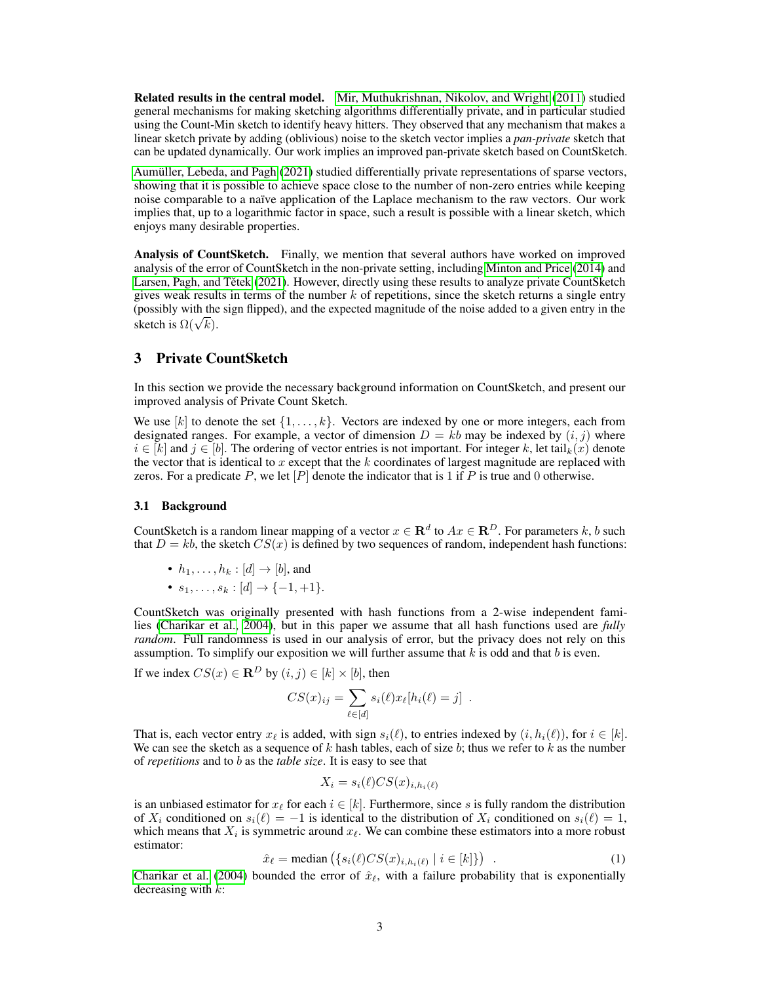Related results in the central model. [Mir, Muthukrishnan, Nikolov, and Wright](#page-10-6) [\(2011\)](#page-10-6) studied general mechanisms for making sketching algorithms differentially private, and in particular studied using the Count-Min sketch to identify heavy hitters. They observed that any mechanism that makes a linear sketch private by adding (oblivious) noise to the sketch vector implies a *pan-private* sketch that can be updated dynamically. Our work implies an improved pan-private sketch based on CountSketch.

[Aumüller, Lebeda, and Pagh](#page-9-14) [\(2021\)](#page-9-14) studied differentially private representations of sparse vectors, showing that it is possible to achieve space close to the number of non-zero entries while keeping noise comparable to a naïve application of the Laplace mechanism to the raw vectors. Our work implies that, up to a logarithmic factor in space, such a result is possible with a linear sketch, which enjoys many desirable properties.

Analysis of CountSketch. Finally, we mention that several authors have worked on improved analysis of the error of CountSketch in the non-private setting, including [Minton and Price](#page-10-7) [\(2014\)](#page-10-7) and Larsen, Pagh, and Tětek [\(2021\)](#page-10-2). However, directly using these results to analyze private CountSketch gives weak results in terms of the number  $k$  of repetitions, since the sketch returns a single entry (possibly with the sign flipped), and the expected magnitude of the noise added to a given entry in the (possibly with the sketch is  $\Omega(\sqrt{k})$ .

## 3 Private CountSketch

In this section we provide the necessary background information on CountSketch, and present our improved analysis of Private Count Sketch.

We use [k] to denote the set  $\{1, \ldots, k\}$ . Vectors are indexed by one or more integers, each from designated ranges. For example, a vector of dimension  $D = kb$  may be indexed by  $(i, j)$  where  $i \in [k]$  and  $j \in [b]$ . The ordering of vector entries is not important. For integer k, let tail $_k(x)$  denote the vector that is identical to  $x$  except that the  $k$  coordinates of largest magnitude are replaced with zeros. For a predicate  $P$ , we let  $[P]$  denote the indicator that is 1 if  $P$  is true and 0 otherwise.

#### 3.1 Background

CountSketch is a random linear mapping of a vector  $x \in \mathbb{R}^d$  to  $Ax \in \mathbb{R}^D$ . For parameters k, b such that  $D = kb$ , the sketch  $CS(x)$  is defined by two sequences of random, independent hash functions:

- $h_1, \ldots, h_k : [d] \rightarrow [b]$ , and
- $s_1, \ldots, s_k : [d] \to \{-1, +1\}.$

CountSketch was originally presented with hash functions from a 2-wise independent families [\(Charikar et al., 2004\)](#page-9-0), but in this paper we assume that all hash functions used are *fully random*. Full randomness is used in our analysis of error, but the privacy does not rely on this assumption. To simplify our exposition we will further assume that  $k$  is odd and that  $b$  is even.

If we index  $CS(x) \in \mathbb{R}^D$  by  $(i, j) \in [k] \times [b]$ , then

$$
CS(x)_{ij} = \sum_{\ell \in [d]} s_i(\ell) x_\ell[h_i(\ell) = j] .
$$

That is, each vector entry  $x_{\ell}$  is added, with sign  $s_i(\ell)$ , to entries indexed by  $(i, h_i(\ell))$ , for  $i \in [k]$ . We can see the sketch as a sequence of k hash tables, each of size b; thus we refer to k as the number of *repetitions* and to b as the *table size*. It is easy to see that

$$
X_i = s_i(\ell) CS(x)_{i, h_i(\ell)}
$$

is an unbiased estimator for  $x_\ell$  for each  $i \in [k]$ . Furthermore, since s is fully random the distribution of  $X_i$  conditioned on  $s_i(\ell) = -1$  is identical to the distribution of  $X_i$  conditioned on  $s_i(\ell) = 1$ , which means that  $X_i$  is symmetric around  $x_\ell$ . We can combine these estimators into a more robust estimator:

<span id="page-2-0"></span>
$$
\hat{x}_{\ell} = \text{median}\left(\{s_i(\ell)CS(x)_{i,h_i(\ell)} \mid i \in [k]\}\right) \tag{1}
$$

[Charikar et al.](#page-9-0) [\(2004\)](#page-9-0) bounded the error of  $\hat{x}_\ell$ , with a failure probability that is exponentially decreasing with  $k$ :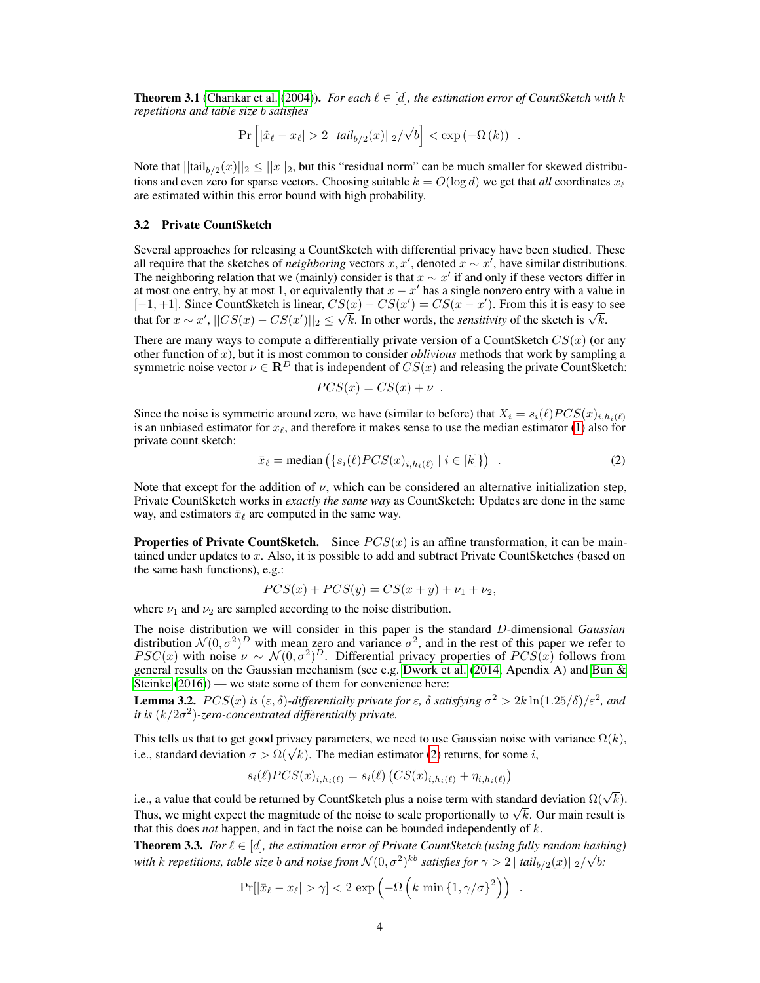<span id="page-3-2"></span>**Theorem 3.1** [\(Charikar et al.](#page-9-0) [\(2004\)](#page-9-0)). *For each*  $\ell \in [d]$ *, the estimation error of CountSketch with* k *repetitions and table size* b *satisfies*

$$
\Pr\left[|\hat{x}_{\ell} - x_{\ell}| > 2 ||tail_{b/2}(x)||_2 / \sqrt{b}\right] < \exp(-\Omega(k)) .
$$

Note that  $||\text{tail}_{b/2}(x)||_2 \leq ||x||_2$ , but this "residual norm" can be much smaller for skewed distributions and even zero for sparse vectors. Choosing suitable  $k = O(\log d)$  we get that *all* coordinates  $x_{\ell}$ are estimated within this error bound with high probability.

#### 3.2 Private CountSketch

Several approaches for releasing a CountSketch with differential privacy have been studied. These all require that the sketches of *neighboring* vectors  $x, x'$ , denoted  $\hat{x} \sim x'$ , have similar distributions. The neighboring relation that we (mainly) consider is that  $x \sim x'$  if and only if these vectors differ in at most one entry, by at most 1, or equivalently that  $x - x'$  has a single nonzero entry with a value in [-1, +1]. Since CountSketch is linear,  $CS(x) - CS(x') = CS(x - x')$ . From this it is easy to see  $[-1, +1]$ . Since Countsketch is finear,  $C S(x) - C S(x) = C S(x - x)$ . From this it is easy to that for  $x \sim x'$ ,  $||CS(x) - CS(x')||_2 \le \sqrt{k}$ . In other words, the *sensitivity* of the sketch is  $\sqrt{k}$ .

There are many ways to compute a differentially private version of a CountSketch  $CS(x)$  (or any other function of x), but it is most common to consider *oblivious* methods that work by sampling a symmetric noise vector  $\nu \in \mathbf{R}^D$  that is independent of  $CS(x)$  and releasing the private CountSketch:

$$
PCS(x) = CS(x) + \nu.
$$

Since the noise is symmetric around zero, we have (similar to before) that  $X_i = s_i(\ell) PCS(x)_{i,h_i(\ell)}$ is an unbiased estimator for  $x_\ell$ , and therefore it makes sense to use the median estimator [\(1\)](#page-2-0) also for private count sketch:

<span id="page-3-0"></span>
$$
\bar{x}_{\ell} = \text{median}\left(\{s_i(\ell)PCS(x)_{i,h_i(\ell)} \mid i \in [k]\}\right) \tag{2}
$$

Note that except for the addition of  $\nu$ , which can be considered an alternative initialization step, Private CountSketch works in *exactly the same way* as CountSketch: Updates are done in the same way, and estimators  $\bar{x}_\ell$  are computed in the same way.

**Properties of Private CountSketch.** Since  $PCS(x)$  is an affine transformation, it can be maintained under updates to x. Also, it is possible to add and subtract Private CountSketches (based on the same hash functions), e.g.:

$$
PCS(x) + PCs(y) = CS(x + y) + \nu_1 + \nu_2,
$$

where  $\nu_1$  and  $\nu_2$  are sampled according to the noise distribution.

The noise distribution we will consider in this paper is the standard D-dimensional *Gaussian* distribution  $\mathcal{N}(0, \sigma^2)^D$  with mean zero and variance  $\sigma^2$ , and in the rest of this paper we refer to  $PSC(x)$  with noise  $\nu \sim \mathcal{N}(0, \sigma^2)^D$ . Differential privacy properties of  $PCS(x)$  follows from general results on the Gaussian mechanism (see e.g. [Dwork et al.](#page-9-1) [\(2014,](#page-9-1) Apendix A) and [Bun &](#page-9-3) [Steinke](#page-9-3) [\(2016\)](#page-9-3)) — we state some of them for convenience here:

**Lemma 3.2.**  $PCS(x)$  is  $(\varepsilon, \delta)$ -differentially private for  $\varepsilon$ ,  $\delta$  satisfying  $\sigma^2 > 2k \ln(1.25/\delta)/\varepsilon^2$ , and *it is* (k/2σ 2 )*-zero-concentrated differentially private.*

This tells us that to get good privacy parameters, we need to use Gaussian noise with variance  $\Omega(k)$ , This tens us that to get good privacy parameters, we need to use Gaussian holder while.<br>i.e., standard deviation  $\sigma > \Omega(\sqrt{k})$ . The median estimator [\(2\)](#page-3-0) returns, for some i,

$$
s_i(\ell) PCS(x)_{i,h_i(\ell)} = s_i(\ell) \left( CS(x)_{i,h_i(\ell)} + \eta_{i,h_i(\ell)} \right)
$$

i.e., a value that could be returned by CountSketch plus a noise term with standard deviation  $\Omega(\sqrt{k})$ . Thus, we might expect the magnitude of the noise to scale proportionally to  $\sqrt{k}$ . Our main result is Thus, we might expect the magnitude of the noise to scale proportionally to  $\sqrt{k}$ . Our main result is that this does *not* happen, and in fact the noise can be bounded independently of k.

<span id="page-3-1"></span>**Theorem 3.3.** *For*  $\ell \in [d]$ *, the estimation error of Private CountSketch (using fully random hashing)* with  $k$  repetitions, table size  $b$  and noise from  $\mathcal{N}(0,\sigma^2)^{kb}$  satisfies for  $\gamma>2$   $||tail_{b/2}(x)||_2/\sqrt{b}$ :

$$
\Pr[|\bar{x}_{\ell} - x_{\ell}| > \gamma] < 2 \exp\left(-\Omega\left(k \min\left\{1, \gamma/\sigma\right\}^2\right)\right) .
$$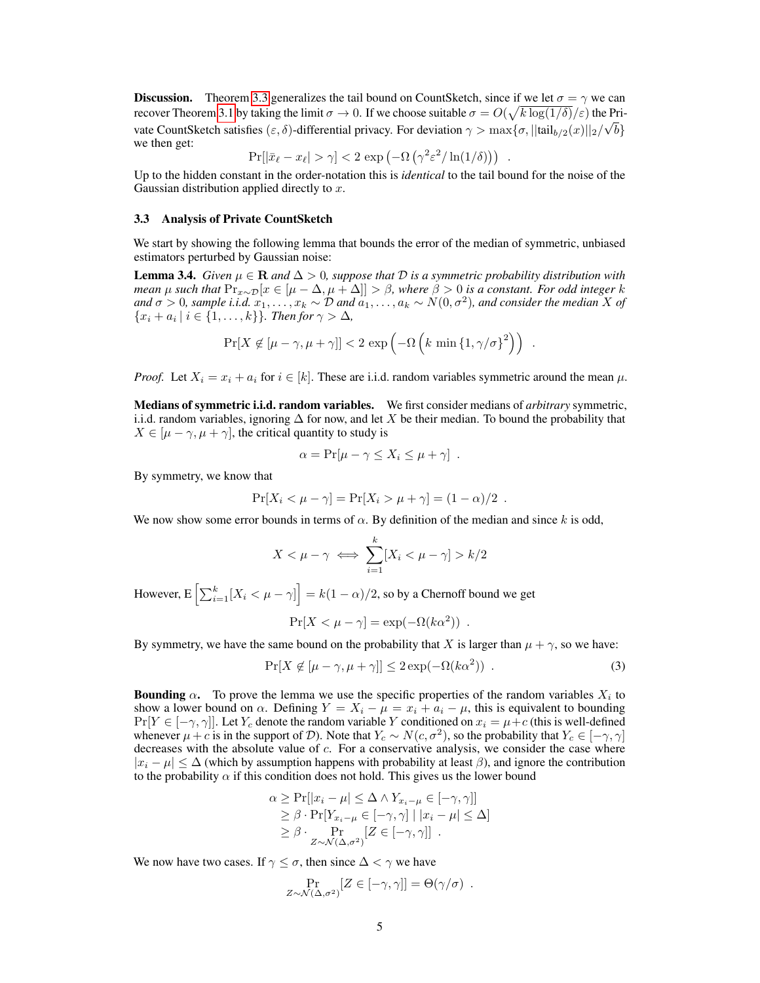**Discussion.** Theorem [3.3](#page-3-1) generalizes the tail bound on CountSketch, since if we let  $\sigma = \gamma$  we can recover Theorem [3.1](#page-3-2) by taking the limit  $\sigma \to 0$ . If we choose suitable  $\sigma = O(\sqrt{k \log(1/\delta)}/\varepsilon)$  the Private CountSketch satisfies  $(\varepsilon, \delta)$ -differential privacy. For deviation  $\gamma > \max{\lbrace \sigma, ||\text{tail}_{b/2}(x)||_2/\sqrt{b} \rbrace}$ we then get:

$$
\Pr[|\bar{x}_{\ell} - x_{\ell}| > \gamma] < 2 \exp(-\Omega(\gamma^2 \varepsilon^2 / \ln(1/\delta))) \ .
$$

Up to the hidden constant in the order-notation this is *identical* to the tail bound for the noise of the Gaussian distribution applied directly to  $x$ .

#### 3.3 Analysis of Private CountSketch

We start by showing the following lemma that bounds the error of the median of symmetric, unbiased estimators perturbed by Gaussian noise:

<span id="page-4-1"></span>**Lemma 3.4.** *Given*  $\mu \in \mathbb{R}$  *and*  $\Delta > 0$ *, suppose that*  $\mathcal{D}$  *is a symmetric probability distribution with mean*  $\mu$  *such that*  $\Pr_{x \sim \mathcal{D}}[x \in [\mu - \Delta, \mu + \Delta]] > \beta$ *, where*  $\beta > 0$  *is a constant. For odd integer* k and  $\sigma > 0$ , sample i.i.d.  $x_1, \ldots, x_k \sim \mathcal{D}$  and  $a_1, \ldots, a_k \sim N(0, \sigma^2)$ , and consider the median  $X$  of  ${x_i + a_i \mid i \in \{1, \ldots, k\}}$ *. Then for*  $\gamma > \Delta$ *,* 

$$
\Pr[X \notin [\mu - \gamma, \mu + \gamma]] < 2 \exp\left(-\Omega\left(k\min\left\{1, \gamma/\sigma\right\}^2\right)\right) \; .
$$

*Proof.* Let  $X_i = x_i + a_i$  for  $i \in [k]$ . These are i.i.d. random variables symmetric around the mean  $\mu$ .

Medians of symmetric i.i.d. random variables. We first consider medians of *arbitrary* symmetric, i.i.d. random variables, ignoring  $\Delta$  for now, and let X be their median. To bound the probability that  $X \in [\mu - \gamma, \mu + \gamma]$ , the critical quantity to study is

$$
\alpha = \Pr[\mu - \gamma \le X_i \le \mu + \gamma] .
$$

By symmetry, we know that

$$
Pr[X_i < \mu - \gamma] = Pr[X_i > \mu + \gamma] = (1 - \alpha)/2.
$$

We now show some error bounds in terms of  $\alpha$ . By definition of the median and since k is odd,

$$
X < \mu - \gamma \iff \sum_{i=1}^{k} [X_i < \mu - \gamma] > k/2
$$

However, E  $\left[\sum_{i=1}^k [X_i < \mu - \gamma]\right] = k(1 - \alpha)/2$ , so by a Chernoff bound we get

<span id="page-4-0"></span>
$$
Pr[X < \mu - \gamma] = exp(-\Omega(k\alpha^2)) .
$$

By symmetry, we have the same bound on the probability that X is larger than  $\mu + \gamma$ , so we have:

$$
\Pr[X \notin [\mu - \gamma, \mu + \gamma]] \le 2 \exp(-\Omega(k\alpha^2)) \tag{3}
$$

**Bounding**  $\alpha$ . To prove the lemma we use the specific properties of the random variables  $X_i$  to show a lower bound on  $\alpha$ . Defining  $Y = X_i - \mu = x_i + a_i - \mu$ , this is equivalent to bounding  $Pr[Y \in [-\gamma, \gamma]]$ . Let  $Y_c$  denote the random variable Y conditioned on  $x_i = \mu + c$  (this is well-defined whenever  $\mu + c$  is in the support of D). Note that  $Y_c \sim N(c, \sigma^2)$ , so the probability that  $Y_c \in [-\gamma, \gamma]$ decreases with the absolute value of  $c$ . For a conservative analysis, we consider the case where  $|x_i - \mu| \leq \Delta$  (which by assumption happens with probability at least  $\beta$ ), and ignore the contribution to the probability  $\alpha$  if this condition does not hold. This gives us the lower bound

$$
\alpha \geq \Pr[|x_i - \mu| \leq \Delta \wedge Y_{x_i - \mu} \in [-\gamma, \gamma]]
$$
  
\n
$$
\geq \beta \cdot \Pr[Y_{x_i - \mu} \in [-\gamma, \gamma] \mid |x_i - \mu| \leq \Delta]
$$
  
\n
$$
\geq \beta \cdot \Pr_{Z \sim \mathcal{N}(\Delta, \sigma^2)}[Z \in [-\gamma, \gamma]]
$$

We now have two cases. If  $\gamma < \sigma$ , then since  $\Delta < \gamma$  we have

$$
\Pr_{Z \sim \mathcal{N}(\Delta, \sigma^2)}[Z \in [-\gamma, \gamma]] = \Theta(\gamma/\sigma) .
$$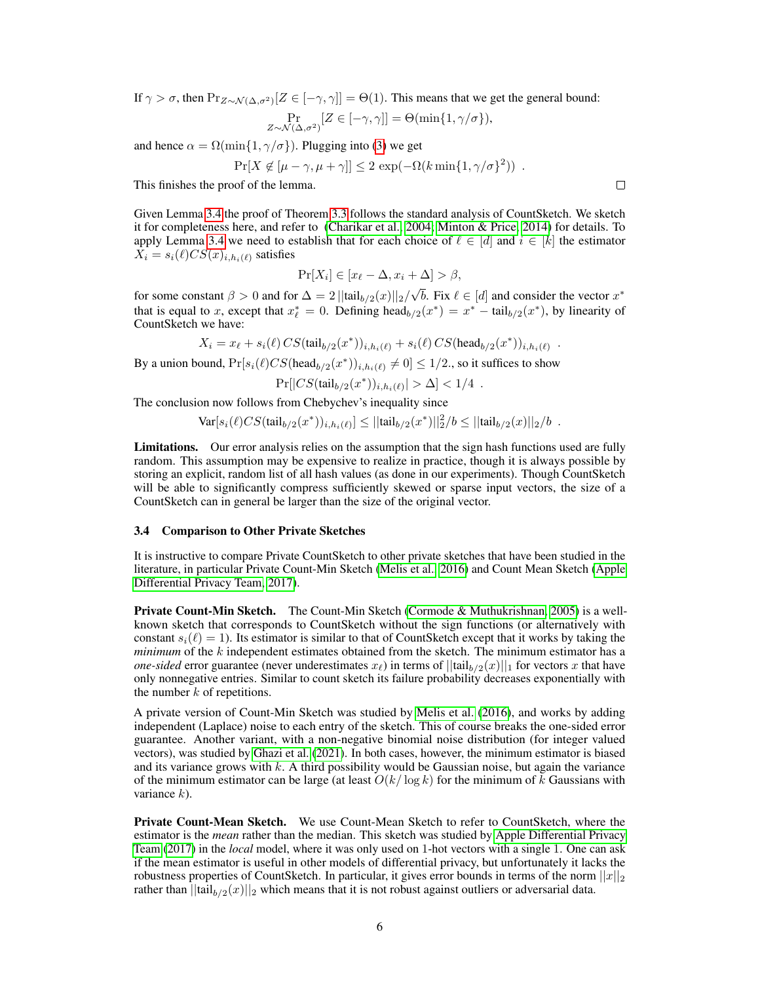If  $\gamma > \sigma$ , then  $Pr_{Z \sim \mathcal{N}(\Delta, \sigma^2)}[Z \in [-\gamma, \gamma]] = \Theta(1)$ . This means that we get the general bound:

$$
\Pr_{Z \sim \mathcal{N}(\Delta, \sigma^2)}[Z \in [-\gamma, \gamma]] = \Theta(\min\{1, \gamma/\sigma\}),
$$

and hence  $\alpha = \Omega(\min\{1, \gamma/\sigma\})$ . Plugging into [\(3\)](#page-4-0) we get

$$
Pr[X \notin [\mu - \gamma, \mu + \gamma]] \le 2 \exp(-\Omega(k \min\{1, \gamma/\sigma\}^2)) .
$$

This finishes the proof of the lemma.

Given Lemma [3.4](#page-4-1) the proof of Theorem [3.3](#page-3-1) follows the standard analysis of CountSketch. We sketch it for completeness here, and refer to [\(Charikar et al., 2004;](#page-9-0) [Minton & Price, 2014\)](#page-10-7) for details. To apply Lemma [3.4](#page-4-1) we need to establish that for each choice of  $\ell \in [d]$  and  $i \in [k]$  the estimator  $\tilde{X}_i = s_i(\ell)CS(x)_{i,h_i(\ell)}$  satisfies

$$
\Pr[X_i] \in [x_\ell - \Delta, x_i + \Delta] > \beta,
$$

for some constant  $\beta > 0$  and for  $\Delta = 2 ||\text{tail}_{b/2}(x)||_2$ / √  $\overline{b}$ . Fix  $\ell \in [d]$  and consider the vector  $x^*$ that is equal to x, except that  $x_{\ell}^* = 0$ . Defining head $_{b/2}(x^*) = x^* - \text{tail}_{b/2}(x^*)$ , by linearity of CountSketch we have:

$$
X_i = x_{\ell} + s_i(\ell) \, CS(\text{tail}_{b/2}(x^*))_{i, h_i(\ell)} + s_i(\ell) \, CS(\text{head}_{b/2}(x^*))_{i, h_i(\ell)}
$$

By a union bound,  $Pr[s_i(\ell)CS(head_{b/2}(x^*))_{i,h_i(\ell)} \neq 0] \leq 1/2$ ., so it suffices to show

$$
\Pr[|CS(tail_{b/2}(x^*))_{i,h_i(\ell)}| > \Delta] < 1/4.
$$

The conclusion now follows from Chebychev's inequality since

$$
\text{Var}[s_i(\ell)CS(\text{tail}_{b/2}(x^*))_{i,h_i(\ell)}] \le ||\text{tail}_{b/2}(x^*)||_2^2/b \le ||\text{tail}_{b/2}(x)||_2/b.
$$

Limitations. Our error analysis relies on the assumption that the sign hash functions used are fully random. This assumption may be expensive to realize in practice, though it is always possible by storing an explicit, random list of all hash values (as done in our experiments). Though CountSketch will be able to significantly compress sufficiently skewed or sparse input vectors, the size of a CountSketch can in general be larger than the size of the original vector.

### <span id="page-5-0"></span>3.4 Comparison to Other Private Sketches

It is instructive to compare Private CountSketch to other private sketches that have been studied in the literature, in particular Private Count-Min Sketch [\(Melis et al., 2016\)](#page-10-5) and Count Mean Sketch [\(Apple](#page-9-4) [Differential Privacy Team, 2017\)](#page-9-4).

**Private Count-Min Sketch.** The Count-Min Sketch [\(Cormode & Muthukrishnan, 2005\)](#page-9-15) is a wellknown sketch that corresponds to CountSketch without the sign functions (or alternatively with constant  $s_i(\ell) = 1$ ). Its estimator is similar to that of CountSketch except that it works by taking the *minimum* of the k independent estimates obtained from the sketch. The minimum estimator has a *one-sided* error guarantee (never underestimates  $x_{\ell}$ ) in terms of  $||\text{tail}_{b/2}(x)||_1$  for vectors x that have only nonnegative entries. Similar to count sketch its failure probability decreases exponentially with the number  $k$  of repetitions.

A private version of Count-Min Sketch was studied by [Melis et al.](#page-10-5) [\(2016\)](#page-10-5), and works by adding independent (Laplace) noise to each entry of the sketch. This of course breaks the one-sided error guarantee. Another variant, with a non-negative binomial noise distribution (for integer valued vectors), was studied by [Ghazi et al.](#page-9-13) [\(2021\)](#page-9-13). In both cases, however, the minimum estimator is biased and its variance grows with  $k$ . A third possibility would be Gaussian noise, but again the variance of the minimum estimator can be large (at least  $O(k/\log k)$  for the minimum of k Gaussians with variance  $k$ ).

Private Count-Mean Sketch. We use Count-Mean Sketch to refer to CountSketch, where the estimator is the *mean* rather than the median. This sketch was studied by [Apple Differential Privacy](#page-9-4) [Team](#page-9-4) [\(2017\)](#page-9-4) in the *local* model, where it was only used on 1-hot vectors with a single 1. One can ask if the mean estimator is useful in other models of differential privacy, but unfortunately it lacks the robustness properties of CountSketch. In particular, it gives error bounds in terms of the norm  $||x||_2$ rather than  $||\text{tail}_{b/2}(x)||_2$  which means that it is not robust against outliers or adversarial data.

.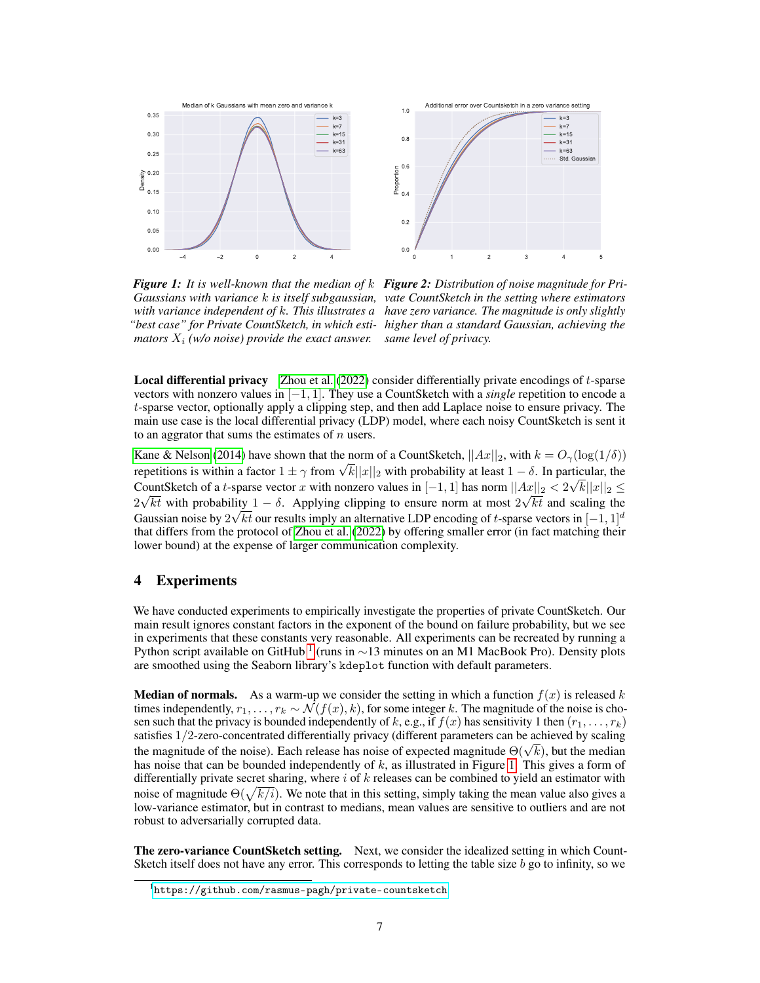<span id="page-6-1"></span>



*Figure 1: It is well-known that the median of* k *Figure 2: Distribution of noise magnitude for Pri-Gaussians with variance* k *is itself subgaussian, vate CountSketch in the setting where estimators with variance independent of* k*. This illustrates a have zero variance. The magnitude is only slightly "best case" for Private CountSketch, in which esti-higher than a standard Gaussian, achieving the mators*  $X_i$  *(w/o noise) provide the exact answer.* 

*same level of privacy.*

Local differential privacy [Zhou et al.](#page-10-4) [\(2022\)](#page-10-4) consider differentially private encodings of t-sparse vectors with nonzero values in [−1, 1]. They use a CountSketch with a *single* repetition to encode a t-sparse vector, optionally apply a clipping step, and then add Laplace noise to ensure privacy. The main use case is the local differential privacy (LDP) model, where each noisy CountSketch is sent it to an aggrator that sums the estimates of  $n$  users.

[Kane & Nelson](#page-10-8) [\(2014\)](#page-10-8) have shown that the norm of a CountSketch,  $||Ax||_2$ , with  $k = O_\gamma(\log(1/\delta))$ Rane & Neison (2014) have shown that the norm of a CountsRetch,  $||Ax||_2$ , with  $\kappa = O_\gamma(\log(1/\delta))$ <br>repetitions is within a factor  $1 \pm \gamma$  from  $\sqrt{k}||x||_2$  with probability at least  $1 - \delta$ . In particular, the CountSketch of a t-sparse vector x with nonzero values in  $[-1, 1]$  has norm  $||Ax||_2 < 2\sqrt{k}||x||_2 \leq$  $2\sqrt{kt}$  with probability  $1 - \delta$ . Applying clipping to ensure norm at most  $2\sqrt{kt}$  and scaling the Gaussian noise by  $2\sqrt{kt}$  our results imply an alternative LDP encoding of t-sparse vectors in  $[-1, 1]^d$ that differs from the protocol of [Zhou et al.](#page-10-4) [\(2022\)](#page-10-4) by offering smaller error (in fact matching their lower bound) at the expense of larger communication complexity.

# 4 Experiments

We have conducted experiments to empirically investigate the properties of private CountSketch. Our main result ignores constant factors in the exponent of the bound on failure probability, but we see in experiments that these constants very reasonable. All experiments can be recreated by running a Python script available on GitHub <sup>[1](#page-6-0)</sup> (runs in ∼13 minutes on an M1 MacBook Pro). Density plots are smoothed using the Seaborn library's kdeplot function with default parameters.

**Median of normals.** As a warm-up we consider the setting in which a function  $f(x)$  is released k times independently,  $r_1, \ldots, r_k \sim \mathcal{N}(f(x), k)$ , for some integer k. The magnitude of the noise is chosen such that the privacy is bounded independently of k, e.g., if  $f(x)$  has sensitivity 1 then  $(r_1, \ldots, r_k)$ satisfies 1/2-zero-concentrated differentially privacy (different parameters can be achieved by scaling sausities 1/2-zero-concentrated differentially privacy (different parameters can be achieved by scaling<br>the magnitude of the noise). Each release has noise of expected magnitude  $\Theta(\sqrt{k})$ , but the median has noise that can be bounded independently of  $k$ , as illustrated in Figure [1.](#page-6-1) This gives a form of differentially private secret sharing, where  $i$  of  $k$  releases can be combined to yield an estimator with noise of magnitude  $\Theta(\sqrt{k/i})$ . We note that in this setting, simply taking the mean value also gives a low-variance estimator, but in contrast to medians, mean values are sensitive to outliers and are not robust to adversarially corrupted data.

**The zero-variance CountSketch setting.** Next, we consider the idealized setting in which Count-Sketch itself does not have any error. This corresponds to letting the table size  $b$  go to infinity, so we

<span id="page-6-0"></span><sup>1</sup> <https://github.com/rasmus-pagh/private-countsketch>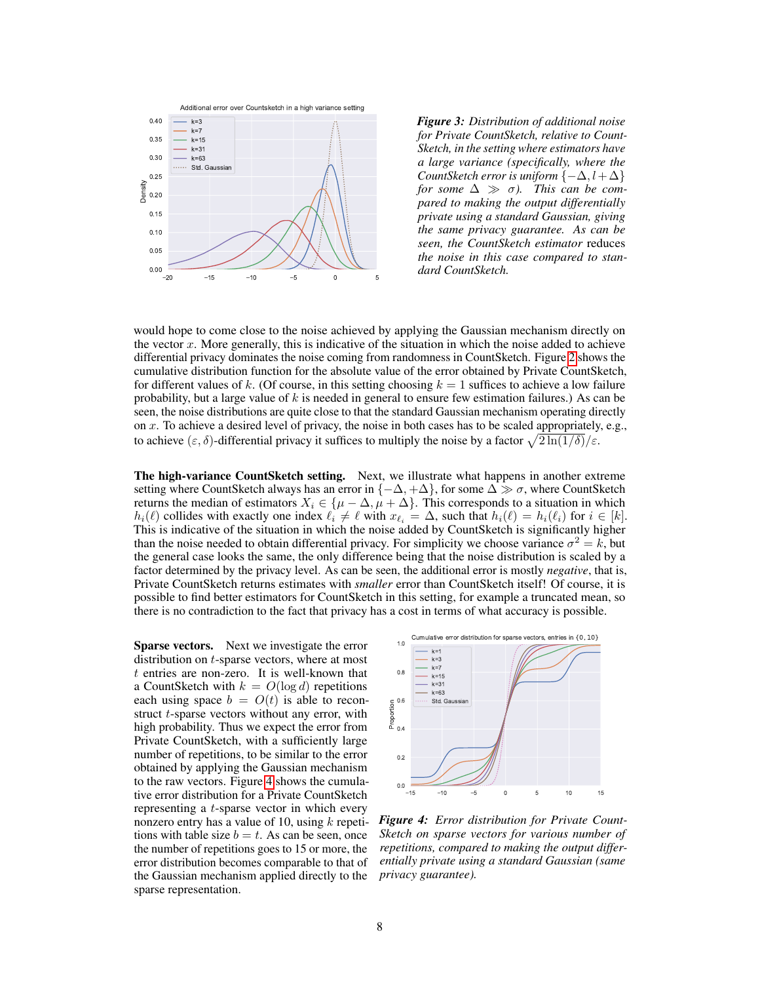

*Figure 3: Distribution of additional noise for Private CountSketch, relative to Count-Sketch, in the setting where estimators have a large variance (specifically, where the CountSketch error is uniform*  $\{-\Delta, l+\Delta\}$ *for some*  $\Delta \gg \sigma$ *). This can be compared to making the output differentially private using a standard Gaussian, giving the same privacy guarantee. As can be seen, the CountSketch estimator* reduces *the noise in this case compared to standard CountSketch.*

would hope to come close to the noise achieved by applying the Gaussian mechanism directly on the vector x. More generally, this is indicative of the situation in which the noise added to achieve differential privacy dominates the noise coming from randomness in CountSketch. Figure [2](#page-6-1) shows the cumulative distribution function for the absolute value of the error obtained by Private CountSketch, for different values of k. (Of course, in this setting choosing  $k = 1$  suffices to achieve a low failure probability, but a large value of  $k$  is needed in general to ensure few estimation failures.) As can be seen, the noise distributions are quite close to that the standard Gaussian mechanism operating directly on x. To achieve a desired level of privacy, the noise in both cases has to be scaled appropriately, e.g., to achieve  $(\varepsilon, \delta)$ -differential privacy it suffices to multiply the noise by a factor  $\sqrt{2\ln(1/\delta)}/\varepsilon$ .

The high-variance CountSketch setting. Next, we illustrate what happens in another extreme setting where CountSketch always has an error in  $\{-\Delta, +\Delta\}$ , for some  $\Delta \gg \sigma$ , where CountSketch returns the median of estimators  $X_i \in {\mu - \Delta, \mu + \Delta}$ . This corresponds to a situation in which  $h_i(\ell)$  collides with exactly one index  $\ell_i \neq \ell$  with  $x_{\ell_i} = \Delta$ , such that  $h_i(\ell) = h_i(\ell_i)$  for  $i \in [k]$ . This is indicative of the situation in which the noise added by CountSketch is significantly higher than the noise needed to obtain differential privacy. For simplicity we choose variance  $\sigma^2 = k$ , but the general case looks the same, the only difference being that the noise distribution is scaled by a factor determined by the privacy level. As can be seen, the additional error is mostly *negative*, that is, Private CountSketch returns estimates with *smaller* error than CountSketch itself! Of course, it is possible to find better estimators for CountSketch in this setting, for example a truncated mean, so there is no contradiction to the fact that privacy has a cost in terms of what accuracy is possible.

Sparse vectors. Next we investigate the error distribution on t-sparse vectors, where at most  $t$  entries are non-zero. It is well-known that a CountSketch with  $k = O(\log d)$  repetitions each using space  $b = O(t)$  is able to reconstruct *t*-sparse vectors without any error, with high probability. Thus we expect the error from Private CountSketch, with a sufficiently large number of repetitions, to be similar to the error obtained by applying the Gaussian mechanism to the raw vectors. Figure [4](#page-7-0) shows the cumulative error distribution for a Private CountSketch representing a t-sparse vector in which every nonzero entry has a value of 10, using  $k$  repetitions with table size  $b = t$ . As can be seen, once the number of repetitions goes to 15 or more, the error distribution becomes comparable to that of the Gaussian mechanism applied directly to the sparse representation.

<span id="page-7-0"></span>

*Figure 4: Error distribution for Private Count-Sketch on sparse vectors for various number of repetitions, compared to making the output differentially private using a standard Gaussian (same privacy guarantee).*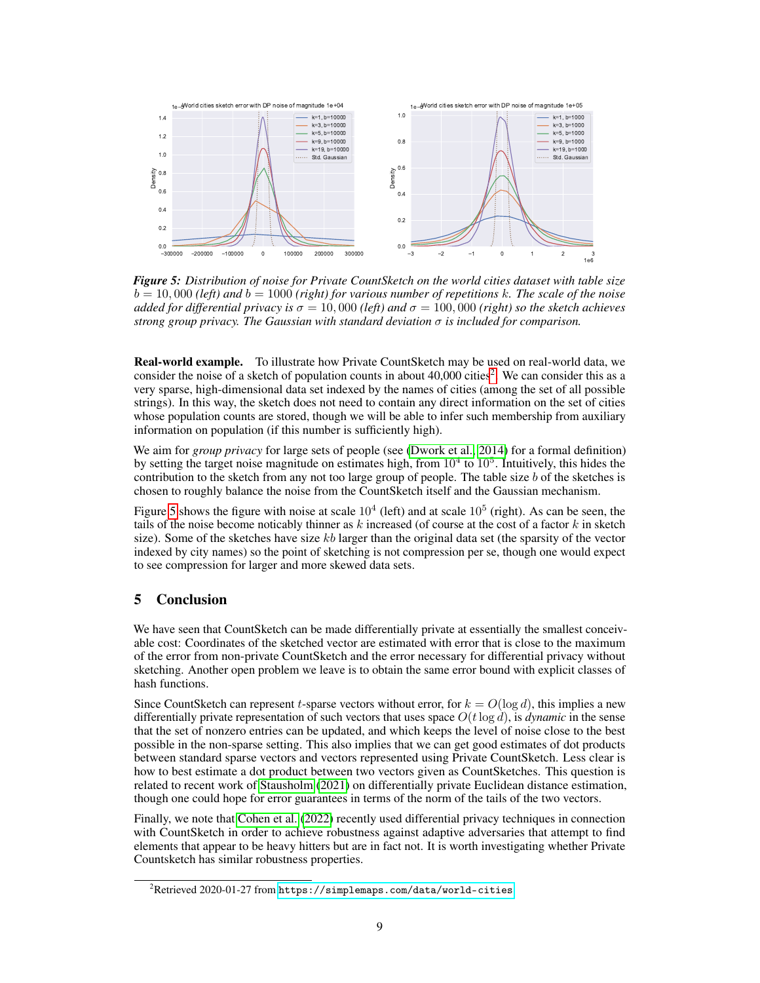<span id="page-8-1"></span>

*Figure 5: Distribution of noise for Private CountSketch on the world cities dataset with table size*  $b = 10,000$  *(left)* and  $b = 1000$  *(right) for various number of repetitions* k. The scale of the noise *added for differential privacy is*  $\sigma = 10,000$  *(left) and*  $\sigma = 100,000$  *(right) so the sketch achieves strong group privacy. The Gaussian with standard deviation*  $\sigma$  *is included for comparison.* 

Real-world example. To illustrate how Private CountSketch may be used on real-world data, we consider the noise of a sketch of population counts in about  $40,000$  cities<sup>[2](#page-8-0)</sup>. We can consider this as a very sparse, high-dimensional data set indexed by the names of cities (among the set of all possible strings). In this way, the sketch does not need to contain any direct information on the set of cities whose population counts are stored, though we will be able to infer such membership from auxiliary information on population (if this number is sufficiently high).

We aim for *group privacy* for large sets of people (see [\(Dwork et al., 2014\)](#page-9-1) for a formal definition) by setting the target noise magnitude on estimates high, from  $10^4$  to  $10^5$ . Intuitively, this hides the contribution to the sketch from any not too large group of people. The table size b of the sketches is chosen to roughly balance the noise from the CountSketch itself and the Gaussian mechanism.

Figure [5](#page-8-1) shows the figure with noise at scale  $10^4$  (left) and at scale  $10^5$  (right). As can be seen, the tails of the noise become noticably thinner as  $k$  increased (of course at the cost of a factor  $k$  in sketch size). Some of the sketches have size  $kb$  larger than the original data set (the sparsity of the vector indexed by city names) so the point of sketching is not compression per se, though one would expect to see compression for larger and more skewed data sets.

# 5 Conclusion

We have seen that CountSketch can be made differentially private at essentially the smallest conceivable cost: Coordinates of the sketched vector are estimated with error that is close to the maximum of the error from non-private CountSketch and the error necessary for differential privacy without sketching. Another open problem we leave is to obtain the same error bound with explicit classes of hash functions.

Since CountSketch can represent t-sparse vectors without error, for  $k = O(\log d)$ , this implies a new differentially private representation of such vectors that uses space  $O(t \log d)$ , is *dynamic* in the sense that the set of nonzero entries can be updated, and which keeps the level of noise close to the best possible in the non-sparse setting. This also implies that we can get good estimates of dot products between standard sparse vectors and vectors represented using Private CountSketch. Less clear is how to best estimate a dot product between two vectors given as CountSketches. This question is related to recent work of [Stausholm](#page-10-9) [\(2021\)](#page-10-9) on differentially private Euclidean distance estimation, though one could hope for error guarantees in terms of the norm of the tails of the two vectors.

Finally, we note that [Cohen et al.](#page-9-16) [\(2022\)](#page-9-16) recently used differential privacy techniques in connection with CountSketch in order to achieve robustness against adaptive adversaries that attempt to find elements that appear to be heavy hitters but are in fact not. It is worth investigating whether Private Countsketch has similar robustness properties.

<span id="page-8-0"></span> $^{2}$ Retrieved 2020-01-27 from <https://simplemaps.com/data/world-cities>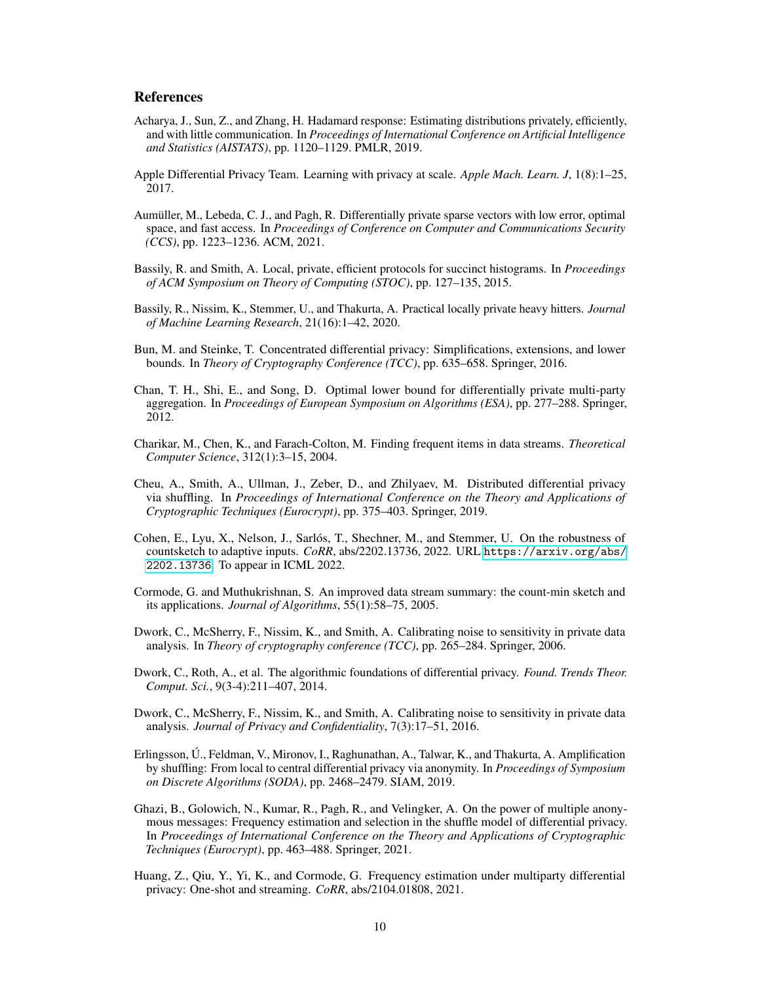## **References**

- <span id="page-9-8"></span>Acharya, J., Sun, Z., and Zhang, H. Hadamard response: Estimating distributions privately, efficiently, and with little communication. In *Proceedings of International Conference on Artificial Intelligence and Statistics (AISTATS)*, pp. 1120–1129. PMLR, 2019.
- <span id="page-9-4"></span>Apple Differential Privacy Team. Learning with privacy at scale. *Apple Mach. Learn. J*, 1(8):1–25, 2017.
- <span id="page-9-14"></span>Aumüller, M., Lebeda, C. J., and Pagh, R. Differentially private sparse vectors with low error, optimal space, and fast access. In *Proceedings of Conference on Computer and Communications Security (CCS)*, pp. 1223–1236. ACM, 2021.
- <span id="page-9-7"></span>Bassily, R. and Smith, A. Local, private, efficient protocols for succinct histograms. In *Proceedings of ACM Symposium on Theory of Computing (STOC)*, pp. 127–135, 2015.
- <span id="page-9-6"></span>Bassily, R., Nissim, K., Stemmer, U., and Thakurta, A. Practical locally private heavy hitters. *Journal of Machine Learning Research*, 21(16):1–42, 2020.
- <span id="page-9-3"></span>Bun, M. and Steinke, T. Concentrated differential privacy: Simplifications, extensions, and lower bounds. In *Theory of Cryptography Conference (TCC)*, pp. 635–658. Springer, 2016.
- <span id="page-9-5"></span>Chan, T. H., Shi, E., and Song, D. Optimal lower bound for differentially private multi-party aggregation. In *Proceedings of European Symposium on Algorithms (ESA)*, pp. 277–288. Springer, 2012.
- <span id="page-9-0"></span>Charikar, M., Chen, K., and Farach-Colton, M. Finding frequent items in data streams. *Theoretical Computer Science*, 312(1):3–15, 2004.
- <span id="page-9-11"></span>Cheu, A., Smith, A., Ullman, J., Zeber, D., and Zhilyaev, M. Distributed differential privacy via shuffling. In *Proceedings of International Conference on the Theory and Applications of Cryptographic Techniques (Eurocrypt)*, pp. 375–403. Springer, 2019.
- <span id="page-9-16"></span>Cohen, E., Lyu, X., Nelson, J., Sarlós, T., Shechner, M., and Stemmer, U. On the robustness of countsketch to adaptive inputs. *CoRR*, abs/2202.13736, 2022. URL [https://arxiv.org/abs/](https://arxiv.org/abs/2202.13736) [2202.13736](https://arxiv.org/abs/2202.13736). To appear in ICML 2022.
- <span id="page-9-15"></span>Cormode, G. and Muthukrishnan, S. An improved data stream summary: the count-min sketch and its applications. *Journal of Algorithms*, 55(1):58–75, 2005.
- <span id="page-9-2"></span>Dwork, C., McSherry, F., Nissim, K., and Smith, A. Calibrating noise to sensitivity in private data analysis. In *Theory of cryptography conference (TCC)*, pp. 265–284. Springer, 2006.
- <span id="page-9-1"></span>Dwork, C., Roth, A., et al. The algorithmic foundations of differential privacy. *Found. Trends Theor. Comput. Sci.*, 9(3-4):211–407, 2014.
- <span id="page-9-10"></span>Dwork, C., McSherry, F., Nissim, K., and Smith, A. Calibrating noise to sensitivity in private data analysis. *Journal of Privacy and Confidentiality*, 7(3):17–51, 2016.
- <span id="page-9-12"></span>Erlingsson, Ú., Feldman, V., Mironov, I., Raghunathan, A., Talwar, K., and Thakurta, A. Amplification by shuffling: From local to central differential privacy via anonymity. In *Proceedings of Symposium on Discrete Algorithms (SODA)*, pp. 2468–2479. SIAM, 2019.
- <span id="page-9-13"></span>Ghazi, B., Golowich, N., Kumar, R., Pagh, R., and Velingker, A. On the power of multiple anonymous messages: Frequency estimation and selection in the shuffle model of differential privacy. In *Proceedings of International Conference on the Theory and Applications of Cryptographic Techniques (Eurocrypt)*, pp. 463–488. Springer, 2021.
- <span id="page-9-9"></span>Huang, Z., Qiu, Y., Yi, K., and Cormode, G. Frequency estimation under multiparty differential privacy: One-shot and streaming. *CoRR*, abs/2104.01808, 2021.